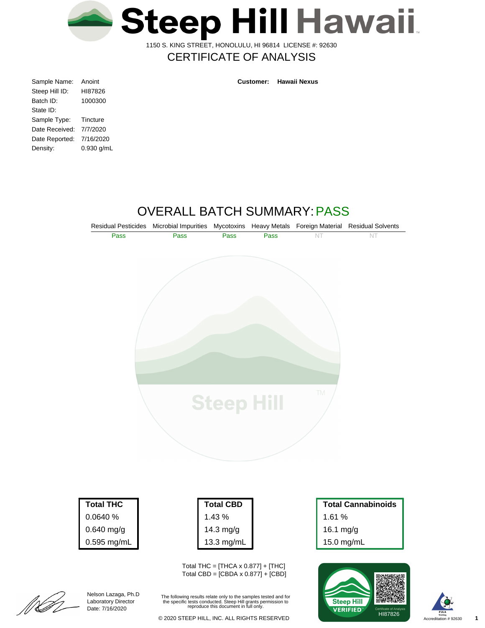

1150 S. KING STREET, HONOLULU, HI 96814 LICENSE #: 92630

## CERTIFICATE OF ANALYSIS

| Sample Name:   | Anoint     |
|----------------|------------|
| Steep Hill ID: | HI87826    |
| Batch ID:      | 1000300    |
| State ID:      |            |
| Sample Type:   | Tincture   |
| Date Received: | 7/7/2020   |
| Date Reported: | 7/16/2020  |
| Density:       | 0.930 g/mL |
|                |            |

**Customer: Hawaii Nexus**

# OVERALL BATCH SUMMARY:PASS



0.0640 % 0.640 mg/g 0.595 mg/mL

> Nelson Lazaga, Ph.D Laboratory Director Date: 7/16/2020

|| | | | | |<br>| | | | | | | |

| <b>Total CBD</b> |
|------------------|
| 1.43%            |
| 14.3 mg/g        |
| 13.3 mg/mL       |

Total THC =  $[THCA \times 0.877] + [THC]$ Total CBD = [CBDA x 0.877] + [CBD]

The following results relate only to the samples tested and for the specific tests conducted. Steep Hill grants permission to reproduce this document in full only.

1.61 % 16.1 mg/g 15.0 mg/mL



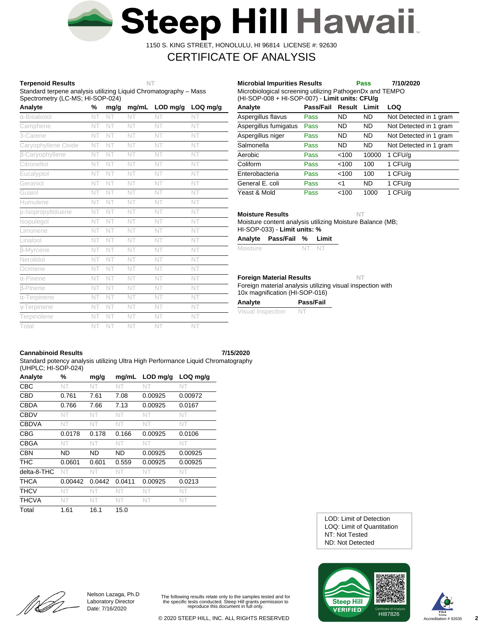

1150 S. KING STREET, HONOLULU, HI 96814 LICENSE #: 92630

# CERTIFICATE OF ANALYSIS

## **Terpenoid Results NT**

Standard terpene analysis utilizing Liquid Chromatography – Mass Spectrometry (LC-MS; HI-SOP-024)

| Analyte             | %  | mg/g | mg/mL | LOD mg/g | LOQ mg/g |
|---------------------|----|------|-------|----------|----------|
| α-Bisabolol         | NT | NT   | NT    | NT       | NT       |
| Camphene            | NT | NT   | NT    | NT       | NT       |
| 3-Carene            | NT | NT   | NT    | NT       | NT       |
| Caryophyllene Oxide | NT | NT   | NT    | NT       | NT       |
| β-Caryophyllene     | NT | NT   | NT    | NT       | NT       |
| Citronellol         | NT | NT   | NT    | NT       | NT       |
| Eucalyptol          | NT | NT   | NT    | NT       | NT       |
| Geraniol            | NT | NT   | NT    | NT       | NT       |
| Guaiol              | NT | NT   | NT    | NT       | NT       |
| Humulene            | NT | NT   | NT    | NT       | NT       |
| p-Isopropyltoluene  | NT | NT   | NT    | NT       | NT       |
| Isopulegol          | NT | NT   | NT    | NT       | NT       |
| Limonene            | NT | NT   | NT    | NT       | NT       |
| Linalool            | NT | NT   | NT    | NT       | NT       |
| <b>B-Myrcene</b>    | NT | NT   | NT    | NT       | NT       |
| Nerolidol           | NT | NT   | NT    | NT       | NT       |
| Ocimene             | NT | NT   | NT    | NT       | NT       |
| $\alpha$ -Pinene    | NT | NT   | NT    | NT       | NT       |
| <b>B-Pinene</b>     | NT | NT   | NT    | NT       | NT       |
| $\alpha$ -Terpinene | NT | NT   | NT    | NT       | NT       |
| $\gamma$ -Terpinene | NT | NT   | NT    | NT       | NT       |
| Terpinolene         | NT | NT   | NT    | NT       | NT       |
| Total               | NT | NT   | NT    | NT       | NT       |

| MICRODIODOGICAL SCREENING UNIIZING PAINOGENDX AND TEMPO<br>(HI-SOP-008 + HI-SOP-007) - Limit units: CFU/g |           |           |           |                        |  |  |  |  |
|-----------------------------------------------------------------------------------------------------------|-----------|-----------|-----------|------------------------|--|--|--|--|
| Analyte                                                                                                   | Pass/Fail | Result    | Limit     | LOQ                    |  |  |  |  |
| Aspergillus flavus                                                                                        | Pass      | ND        | ND.       | Not Detected in 1 gram |  |  |  |  |
| Aspergillus fumigatus                                                                                     | Pass      | <b>ND</b> | <b>ND</b> | Not Detected in 1 gram |  |  |  |  |
| Aspergillus niger                                                                                         | Pass      | <b>ND</b> | <b>ND</b> | Not Detected in 1 gram |  |  |  |  |
| Salmonella                                                                                                | Pass      | <b>ND</b> | <b>ND</b> | Not Detected in 1 gram |  |  |  |  |
| Aerobic                                                                                                   | Pass      | < 100     | 10000     | 1 CFU/g                |  |  |  |  |
| Coliform                                                                                                  | Pass      | < 100     | 100       | 1 CFU/g                |  |  |  |  |
| Enterobacteria                                                                                            | Pass      | < 100     | 100       | 1 CFU/g                |  |  |  |  |
| General E. coli                                                                                           | Pass      | ا>        | <b>ND</b> | 1 CFU/g                |  |  |  |  |
| Yeast & Mold                                                                                              | Pass      | < 100     | 1000      | 1 CFU/a                |  |  |  |  |

Microbiological screening utilizing PathogenDx and TEMPO

**Microbial Impurities Results Pass 7/10/2020**

**Moisture Results NT**

Moisture content analysis utilizing Moisture Balance (MB; HI-SOP-033) - **Limit units: %**

| Analyte | Pass/Fail % | Limit |
|---------|-------------|-------|
|         |             |       |

| Moisture<br>NT NT |  |
|-------------------|--|
|-------------------|--|

## **Foreign Material Results NT**

Foreign material analysis utilizing visual inspection with 10x magnification (HI-SOP-016)

| Analyte           | Pass/Fail |
|-------------------|-----------|
| Visual Inspection | -N.       |

## **Cannabinoid Results 7/15/2020**

Standard potency analysis utilizing Ultra High Performance Liquid Chromatography (UHPLC; HI-SOP-024)

| Analyte      | %       | mg/g   | mg/mL  | $LOD$ mg/g | $LOQ$ mg/g |
|--------------|---------|--------|--------|------------|------------|
| CBC          | NT      | NT     | NT     | NT         | NT         |
| <b>CBD</b>   | 0.761   | 7.61   | 7.08   | 0.00925    | 0.00972    |
| <b>CBDA</b>  | 0.766   | 7.66   | 7.13   | 0.00925    | 0.0167     |
| <b>CBDV</b>  | NT      | NT     | NT     | NT         | NT         |
| <b>CBDVA</b> | NT      | NT     | NT     | NT         | NT.        |
| <b>CBG</b>   | 0.0178  | 0.178  | 0.166  | 0.00925    | 0.0106     |
| <b>CBGA</b>  | NT      | NT     | NT     | NT         | NT.        |
| <b>CBN</b>   | ND      | ND.    | ND     | 0.00925    | 0.00925    |
| <b>THC</b>   | 0.0601  | 0.601  | 0.559  | 0.00925    | 0.00925    |
| delta-8-THC  | NT      | NT     | NT     | NT         | NT         |
| <b>THCA</b>  | 0.00442 | 0.0442 | 0.0411 | 0.00925    | 0.0213     |
| <b>THCV</b>  | NT      | NT     | NT     | NT         | NT.        |
| <b>THCVA</b> | NT      | NT     | NT     | NT.        | NT.        |
| Total        | 1.61    | 16.1   | 15.0   |            |            |

ND: Not Detected NT: Not Tested LOQ: Limit of Quantitation LOD: Limit of Detection





[[**] LI** 

Nelson Lazaga, Ph.D Laboratory Director Date: 7/16/2020

The following results relate only to the samples tested and for the specific tests conducted. Steep Hill grants permission to reproduce this document in full only.